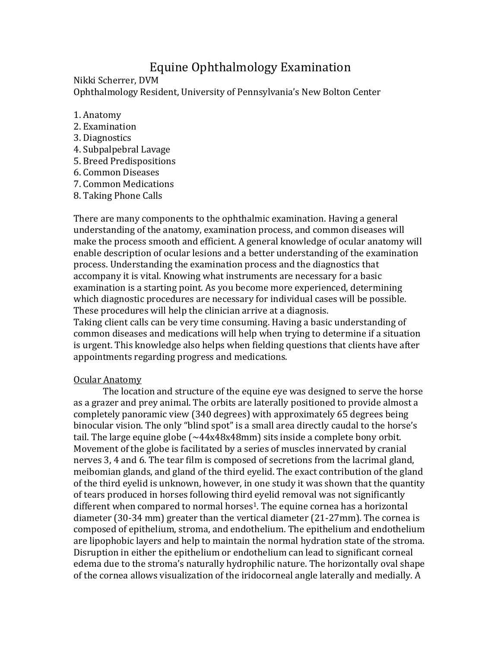# Equine Ophthalmology Examination

Nikki Scherrer, DVM Ophthalmology Resident, University of Pennsylvania's New Bolton Center

- 1. Anatomy
- 2. Examination
- 3. Diagnostics
- 4. Subpalpebral Lavage
- 5. Breed Predispositions
- 6. Common Diseases
- 7. Common Medications
- 8. Taking Phone Calls

There are many components to the ophthalmic examination. Having a general understanding of the anatomy, examination process, and common diseases will make the process smooth and efficient. A general knowledge of ocular anatomy will enable description of ocular lesions and a better understanding of the examination process. Understanding the examination process and the diagnostics that accompany it is vital. Knowing what instruments are necessary for a basic examination is a starting point. As you become more experienced, determining which diagnostic procedures are necessary for individual cases will be possible. These procedures will help the clinician arrive at a diagnosis.

Taking client calls can be very time consuming. Having a basic understanding of common diseases and medications will help when trying to determine if a situation is urgent. This knowledge also helps when fielding questions that clients have after appointments regarding progress and medications.

## Ocular Anatomy

The location and structure of the equine eye was designed to serve the horse as a grazer and prey animal. The orbits are laterally positioned to provide almost a completely panoramic view (340 degrees) with approximately 65 degrees being binocular vision. The only "blind spot" is a small area directly caudal to the horse's tail. The large equine globe  $({\sim}44x48x48mm)$  sits inside a complete bony orbit. Movement of the globe is facilitated by a series of muscles innervated by cranial nerves 3, 4 and 6. The tear film is composed of secretions from the lacrimal gland, meibomian glands, and gland of the third eyelid. The exact contribution of the gland of the third eyelid is unknown, however, in one study it was shown that the quantity of tears produced in horses following third eyelid removal was not significantly different when compared to normal horses<sup>1</sup>. The equine cornea has a horizontal diameter (30-34 mm) greater than the vertical diameter (21-27mm). The cornea is composed of epithelium, stroma, and endothelium. The epithelium and endothelium are lipophobic layers and help to maintain the normal hydration state of the stroma. Disruption in either the epithelium or endothelium can lead to significant corneal edema due to the stroma's naturally hydrophilic nature. The horizontally oval shape of the cornea allows visualization of the iridocorneal angle laterally and medially. A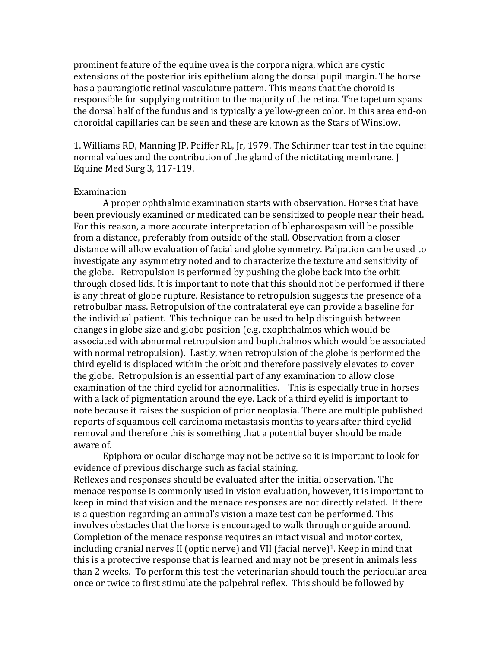prominent feature of the equine uvea is the corpora nigra, which are cystic extensions of the posterior iris epithelium along the dorsal pupil margin. The horse has a paurangiotic retinal vasculature pattern. This means that the choroid is responsible for supplying nutrition to the majority of the retina. The tapetum spans the dorsal half of the fundus and is typically a yellow-green color. In this area end-on choroidal capillaries can be seen and these are known as the Stars of Winslow.

1. Williams RD, Manning JP, Peiffer RL, Jr, 1979. The Schirmer tear test in the equine: normal values and the contribution of the gland of the nictitating membrane. J Equine Med Surg 3, 117-119.

#### **Examination**

A proper ophthalmic examination starts with observation. Horses that have been previously examined or medicated can be sensitized to people near their head. For this reason, a more accurate interpretation of blepharospasm will be possible from a distance, preferably from outside of the stall. Observation from a closer distance will allow evaluation of facial and globe symmetry. Palpation can be used to investigate any asymmetry noted and to characterize the texture and sensitivity of the globe. Retropulsion is performed by pushing the globe back into the orbit through closed lids. It is important to note that this should not be performed if there is any threat of globe rupture. Resistance to retropulsion suggests the presence of a retrobulbar mass. Retropulsion of the contralateral eye can provide a baseline for the individual patient. This technique can be used to help distinguish between changes in globe size and globe position (e.g. exophthalmos which would be associated with abnormal retropulsion and buphthalmos which would be associated with normal retropulsion). Lastly, when retropulsion of the globe is performed the third eyelid is displaced within the orbit and therefore passively elevates to cover the globe. Retropulsion is an essential part of any examination to allow close examination of the third eyelid for abnormalities. This is especially true in horses with a lack of pigmentation around the eye. Lack of a third eyelid is important to note because it raises the suspicion of prior neoplasia. There are multiple published reports of squamous cell carcinoma metastasis months to years after third eyelid removal and therefore this is something that a potential buyer should be made aware of.

Epiphora or ocular discharge may not be active so it is important to look for evidence of previous discharge such as facial staining. Reflexes and responses should be evaluated after the initial observation. The menace response is commonly used in vision evaluation, however, it is important to keep in mind that vision and the menace responses are not directly related. If there is a question regarding an animal's vision a maze test can be performed. This involves obstacles that the horse is encouraged to walk through or guide around. Completion of the menace response requires an intact visual and motor cortex, including cranial nerves II (optic nerve) and VII (facial nerve)<sup>1</sup>. Keep in mind that this is a protective response that is learned and may not be present in animals less than 2 weeks. To perform this test the veterinarian should touch the periocular area once or twice to first stimulate the palpebral reflex. This should be followed by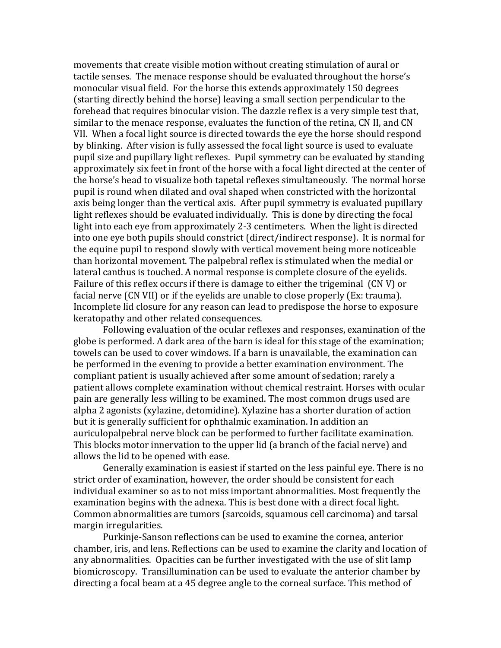movements that create visible motion without creating stimulation of aural or tactile senses. The menace response should be evaluated throughout the horse's monocular visual field. For the horse this extends approximately 150 degrees (starting directly behind the horse) leaving a small section perpendicular to the forehead that requires binocular vision. The dazzle reflex is a very simple test that, similar to the menace response, evaluates the function of the retina, CN II, and CN VII. When a focal light source is directed towards the eye the horse should respond by blinking. After vision is fully assessed the focal light source is used to evaluate pupil size and pupillary light reflexes. Pupil symmetry can be evaluated by standing approximately six feet in front of the horse with a focal light directed at the center of the horse's head to visualize both tapetal reflexes simultaneously. The normal horse pupil is round when dilated and oval shaped when constricted with the horizontal axis being longer than the vertical axis. After pupil symmetry is evaluated pupillary light reflexes should be evaluated individually. This is done by directing the focal light into each eye from approximately 2-3 centimeters. When the light is directed into one eye both pupils should constrict (direct/indirect response). It is normal for the equine pupil to respond slowly with vertical movement being more noticeable than horizontal movement. The palpebral reflex is stimulated when the medial or lateral canthus is touched. A normal response is complete closure of the eyelids. Failure of this reflex occurs if there is damage to either the trigeminal (CN V) or facial nerve (CN VII) or if the eyelids are unable to close properly (Ex: trauma). Incomplete lid closure for any reason can lead to predispose the horse to exposure keratopathy and other related consequences.

Following evaluation of the ocular reflexes and responses, examination of the globe is performed. A dark area of the barn is ideal for this stage of the examination; towels can be used to cover windows. If a barn is unavailable, the examination can be performed in the evening to provide a better examination environment. The compliant patient is usually achieved after some amount of sedation; rarely a patient allows complete examination without chemical restraint. Horses with ocular pain are generally less willing to be examined. The most common drugs used are alpha 2 agonists (xylazine, detomidine). Xylazine has a shorter duration of action but it is generally sufficient for ophthalmic examination. In addition an auriculopalpebral nerve block can be performed to further facilitate examination. This blocks motor innervation to the upper lid (a branch of the facial nerve) and allows the lid to be opened with ease.

Generally examination is easiest if started on the less painful eye. There is no strict order of examination, however, the order should be consistent for each individual examiner so as to not miss important abnormalities. Most frequently the examination begins with the adnexa. This is best done with a direct focal light. Common abnormalities are tumors (sarcoids, squamous cell carcinoma) and tarsal margin irregularities.

Purkinje-Sanson reflections can be used to examine the cornea, anterior chamber, iris, and lens. Reflections can be used to examine the clarity and location of any abnormalities. Opacities can be further investigated with the use of slit lamp biomicroscopy. Transillumination can be used to evaluate the anterior chamber by directing a focal beam at a 45 degree angle to the corneal surface. This method of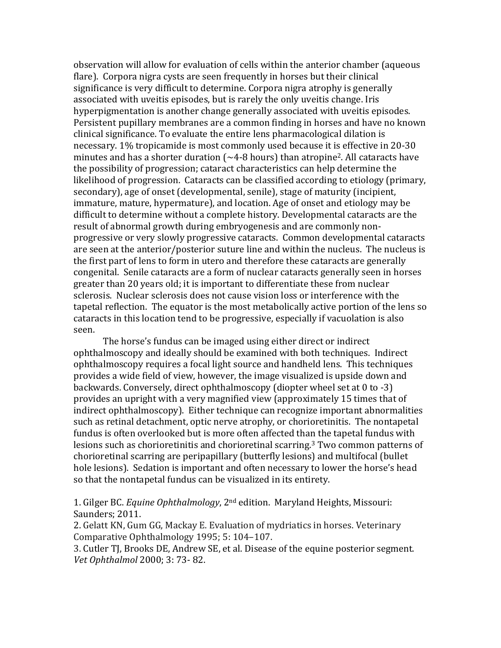observation will allow for evaluation of cells within the anterior chamber (aqueous flare). Corpora nigra cysts are seen frequently in horses but their clinical significance is very difficult to determine. Corpora nigra atrophy is generally associated with uveitis episodes, but is rarely the only uveitis change. Iris hyperpigmentation is another change generally associated with uveitis episodes. Persistent pupillary membranes are a common finding in horses and have no known clinical significance. To evaluate the entire lens pharmacological dilation is necessary. 1% tropicamide is most commonly used because it is effective in 20-30 minutes and has a shorter duration  $(-4-8 \text{ hours})$  than atropine<sup>2</sup>. All cataracts have the possibility of progression; cataract characteristics can help determine the likelihood of progression. Cataracts can be classified according to etiology (primary, secondary), age of onset (developmental, senile), stage of maturity (incipient, immature, mature, hypermature), and location. Age of onset and etiology may be difficult to determine without a complete history. Developmental cataracts are the result of abnormal growth during embryogenesis and are commonly nonprogressive or very slowly progressive cataracts. Common developmental cataracts are seen at the anterior/posterior suture line and within the nucleus. The nucleus is the first part of lens to form in utero and therefore these cataracts are generally congenital. Senile cataracts are a form of nuclear cataracts generally seen in horses greater than 20 years old; it is important to differentiate these from nuclear sclerosis. Nuclear sclerosis does not cause vision loss or interference with the tapetal reflection. The equator is the most metabolically active portion of the lens so cataracts in this location tend to be progressive, especially if vacuolation is also seen.

The horse's fundus can be imaged using either direct or indirect ophthalmoscopy and ideally should be examined with both techniques. Indirect ophthalmoscopy requires a focal light source and handheld lens. This techniques provides a wide field of view, however, the image visualized is upside down and backwards. Conversely, direct ophthalmoscopy (diopter wheel set at 0 to -3) provides an upright with a very magnified view (approximately 15 times that of indirect ophthalmoscopy). Either technique can recognize important abnormalities such as retinal detachment, optic nerve atrophy, or chorioretinitis. The nontapetal fundus is often overlooked but is more often affected than the tapetal fundus with lesions such as chorioretinitis and chorioretinal scarring.<sup>3</sup> Two common patterns of chorioretinal scarring are peripapillary (butterfly lesions) and multifocal (bullet hole lesions). Sedation is important and often necessary to lower the horse's head so that the nontapetal fundus can be visualized in its entirety.

1. Gilger BC. *Equine Ophthalmology*, 2nd edition. Maryland Heights, Missouri: Saunders; 2011.

2. Gelatt KN, Gum GG, Mackay E. Evaluation of mydriatics in horses. Veterinary Comparative Ophthalmology 1995; 5: 104–107.

3. Cutler TJ, Brooks DE, Andrew SE, et al. Disease of the equine posterior segment. *Vet Ophthalmol* 2000; 3: 73- 82.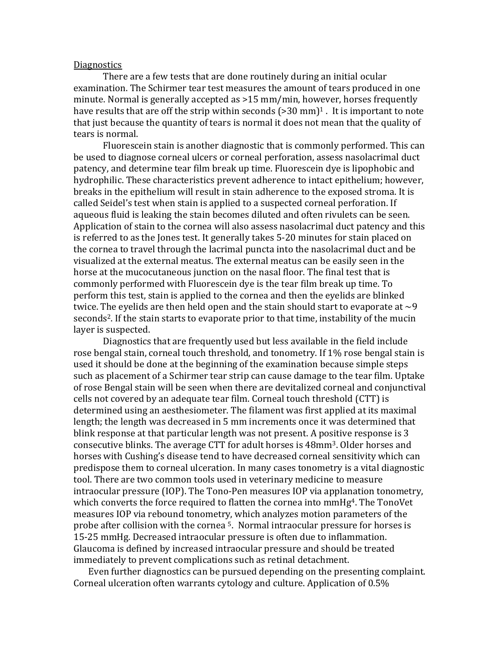#### **Diagnostics**

There are a few tests that are done routinely during an initial ocular examination. The Schirmer tear test measures the amount of tears produced in one minute. Normal is generally accepted as >15 mm/min, however, horses frequently have results that are off the strip within seconds  $(> 30 \text{ mm})^1$ . It is important to note that just because the quantity of tears is normal it does not mean that the quality of tears is normal.

Fluorescein stain is another diagnostic that is commonly performed. This can be used to diagnose corneal ulcers or corneal perforation, assess nasolacrimal duct patency, and determine tear film break up time. Fluorescein dye is lipophobic and hydrophilic. These characteristics prevent adherence to intact epithelium; however, breaks in the epithelium will result in stain adherence to the exposed stroma. It is called Seidel's test when stain is applied to a suspected corneal perforation. If aqueous fluid is leaking the stain becomes diluted and often rivulets can be seen. Application of stain to the cornea will also assess nasolacrimal duct patency and this is referred to as the Jones test. It generally takes 5-20 minutes for stain placed on the cornea to travel through the lacrimal puncta into the nasolacrimal duct and be visualized at the external meatus. The external meatus can be easily seen in the horse at the mucocutaneous junction on the nasal floor. The final test that is commonly performed with Fluorescein dye is the tear film break up time. To perform this test, stain is applied to the cornea and then the eyelids are blinked twice. The eyelids are then held open and the stain should start to evaporate at  $\sim$ 9 seconds<sup>2</sup>. If the stain starts to evaporate prior to that time, instability of the mucin layer is suspected.

Diagnostics that are frequently used but less available in the field include rose bengal stain, corneal touch threshold, and tonometry. If 1% rose bengal stain is used it should be done at the beginning of the examination because simple steps such as placement of a Schirmer tear strip can cause damage to the tear film. Uptake of rose Bengal stain will be seen when there are devitalized corneal and conjunctival cells not covered by an adequate tear film. Corneal touch threshold (CTT) is determined using an aesthesiometer. The filament was first applied at its maximal length; the length was decreased in 5 mm increments once it was determined that blink response at that particular length was not present. A positive response is 3 consecutive blinks. The average CTT for adult horses is 48mm3. Older horses and horses with Cushing's disease tend to have decreased corneal sensitivity which can predispose them to corneal ulceration. In many cases tonometry is a vital diagnostic tool. There are two common tools used in veterinary medicine to measure intraocular pressure (IOP). The Tono-Pen measures IOP via applanation tonometry, which converts the force required to flatten the cornea into mmHg<sup>4</sup>. The TonoVet measures IOP via rebound tonometry, which analyzes motion parameters of the probe after collision with the cornea 5. Normal intraocular pressure for horses is 15-25 mmHg. Decreased intraocular pressure is often due to inflammation. Glaucoma is defined by increased intraocular pressure and should be treated immediately to prevent complications such as retinal detachment.

Even further diagnostics can be pursued depending on the presenting complaint. Corneal ulceration often warrants cytology and culture. Application of 0.5%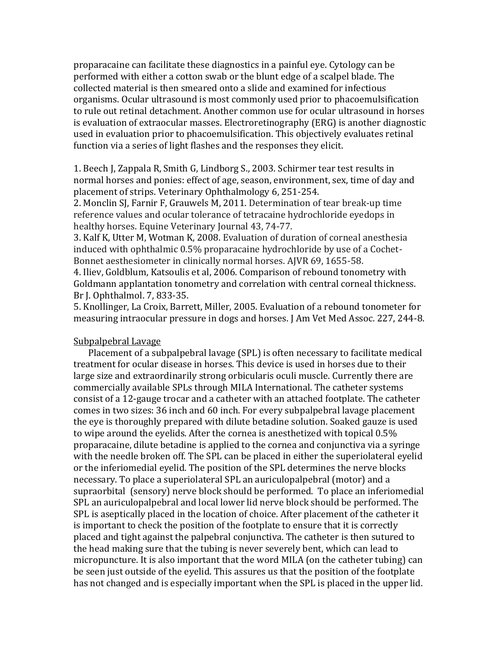proparacaine can facilitate these diagnostics in a painful eye. Cytology can be performed with either a cotton swab or the blunt edge of a scalpel blade. The collected material is then smeared onto a slide and examined for infectious organisms. Ocular ultrasound is most commonly used prior to phacoemulsification to rule out retinal detachment. Another common use for ocular ultrasound in horses is evaluation of extraocular masses. Electroretinography (ERG) is another diagnostic used in evaluation prior to phacoemulsification. This objectively evaluates retinal function via a series of light flashes and the responses they elicit.

1. Beech J, Zappala R, Smith G, Lindborg S., 2003. Schirmer tear test results in normal horses and ponies: effect of age, season, environment, sex, time of day and placement of strips. Veterinary Ophthalmology 6, 251-254.

2. Monclin SJ, Farnir F, Grauwels M, 2011. Determination of tear break-up time reference values and ocular tolerance of tetracaine hydrochloride eyedops in healthy horses. Equine Veterinary Journal 43, 74-77.

3. Kalf K, Utter M, Wotman K, 2008. Evaluation of duration of corneal anesthesia induced with ophthalmic 0.5% proparacaine hydrochloride by use of a Cochet-Bonnet aesthesiometer in clinically normal horses. AJVR 69, 1655-58.

4. Iliev, Goldblum, Katsoulis et al, 2006. Comparison of rebound tonometry with Goldmann applantation tonometry and correlation with central corneal thickness. Br J. Ophthalmol. 7, 833-35.

5. Knollinger, La Croix, Barrett, Miller, 2005. Evaluation of a rebound tonometer for measuring intraocular pressure in dogs and horses. J Am Vet Med Assoc. 227, 244-8.

## Subpalpebral Lavage

Placement of a subpalpebral lavage (SPL) is often necessary to facilitate medical treatment for ocular disease in horses. This device is used in horses due to their large size and extraordinarily strong orbicularis oculi muscle. Currently there are commercially available SPLs through MILA International. The catheter systems consist of a 12-gauge trocar and a catheter with an attached footplate. The catheter comes in two sizes: 36 inch and 60 inch. For every subpalpebral lavage placement the eye is thoroughly prepared with dilute betadine solution. Soaked gauze is used to wipe around the eyelids. After the cornea is anesthetized with topical 0.5% proparacaine, dilute betadine is applied to the cornea and conjunctiva via a syringe with the needle broken off. The SPL can be placed in either the superiolateral eyelid or the inferiomedial eyelid. The position of the SPL determines the nerve blocks necessary. To place a superiolateral SPL an auriculopalpebral (motor) and a supraorbital (sensory) nerve block should be performed. To place an inferiomedial SPL an auriculopalpebral and local lower lid nerve block should be performed. The SPL is aseptically placed in the location of choice. After placement of the catheter it is important to check the position of the footplate to ensure that it is correctly placed and tight against the palpebral conjunctiva. The catheter is then sutured to the head making sure that the tubing is never severely bent, which can lead to micropuncture. It is also important that the word MILA (on the catheter tubing) can be seen just outside of the eyelid. This assures us that the position of the footplate has not changed and is especially important when the SPL is placed in the upper lid.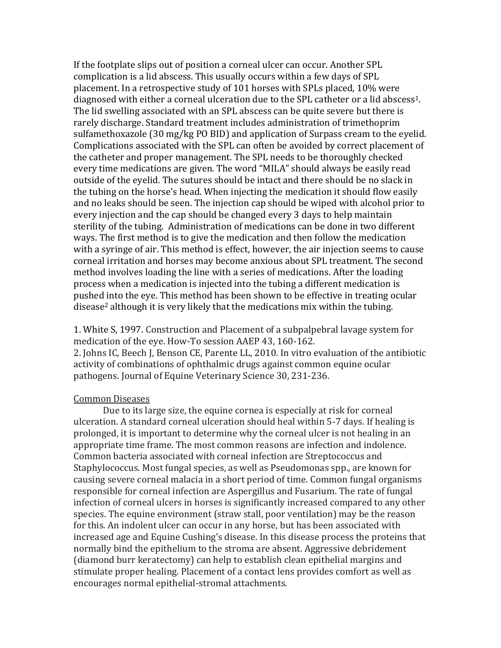If the footplate slips out of position a corneal ulcer can occur. Another SPL complication is a lid abscess. This usually occurs within a few days of SPL placement. In a retrospective study of 101 horses with SPLs placed, 10% were diagnosed with either a corneal ulceration due to the SPL catheter or a lid abscess<sup>1</sup>. The lid swelling associated with an SPL abscess can be quite severe but there is rarely discharge. Standard treatment includes administration of trimethoprim sulfamethoxazole (30 mg/kg PO BID) and application of Surpass cream to the eyelid. Complications associated with the SPL can often be avoided by correct placement of the catheter and proper management. The SPL needs to be thoroughly checked every time medications are given. The word "MILA" should always be easily read outside of the eyelid. The sutures should be intact and there should be no slack in the tubing on the horse's head. When injecting the medication it should flow easily and no leaks should be seen. The injection cap should be wiped with alcohol prior to every injection and the cap should be changed every 3 days to help maintain sterility of the tubing. Administration of medications can be done in two different ways. The first method is to give the medication and then follow the medication with a syringe of air. This method is effect, however, the air injection seems to cause corneal irritation and horses may become anxious about SPL treatment. The second method involves loading the line with a series of medications. After the loading process when a medication is injected into the tubing a different medication is pushed into the eye. This method has been shown to be effective in treating ocular disease<sup>2</sup> although it is very likely that the medications mix within the tubing.

1. White S, 1997. Construction and Placement of a subpalpebral lavage system for medication of the eye. How-To session AAEP 43, 160-162. 2. Johns IC, Beech J, Benson CE, Parente LL, 2010. In vitro evaluation of the antibiotic activity of combinations of ophthalmic drugs against common equine ocular pathogens. Journal of Equine Veterinary Science 30, 231-236.

#### Common Diseases

Due to its large size, the equine cornea is especially at risk for corneal ulceration. A standard corneal ulceration should heal within 5-7 days. If healing is prolonged, it is important to determine why the corneal ulcer is not healing in an appropriate time frame. The most common reasons are infection and indolence. Common bacteria associated with corneal infection are Streptococcus and Staphylococcus. Most fungal species, as well as Pseudomonas spp., are known for causing severe corneal malacia in a short period of time. Common fungal organisms responsible for corneal infection are Aspergillus and Fusarium. The rate of fungal infection of corneal ulcers in horses is significantly increased compared to any other species. The equine environment (straw stall, poor ventilation) may be the reason for this. An indolent ulcer can occur in any horse, but has been associated with increased age and Equine Cushing's disease. In this disease process the proteins that normally bind the epithelium to the stroma are absent. Aggressive debridement (diamond burr keratectomy) can help to establish clean epithelial margins and stimulate proper healing. Placement of a contact lens provides comfort as well as encourages normal epithelial-stromal attachments.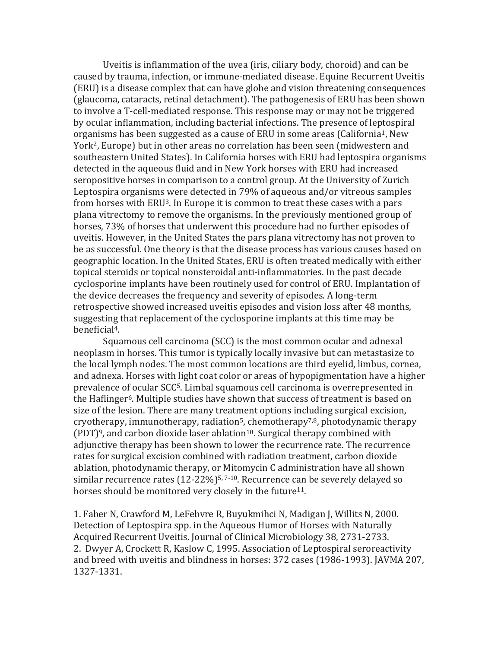Uveitis is inflammation of the uvea (iris, ciliary body, choroid) and can be caused by trauma, infection, or immune-mediated disease. Equine Recurrent Uveitis (ERU) is a disease complex that can have globe and vision threatening consequences (glaucoma, cataracts, retinal detachment). The pathogenesis of ERU has been shown to involve a T-cell-mediated response. This response may or may not be triggered by ocular inflammation, including bacterial infections. The presence of leptospiral organisms has been suggested as a cause of ERU in some areas (California<sup>1</sup>, New York2, Europe) but in other areas no correlation has been seen (midwestern and southeastern United States). In California horses with ERU had leptospira organisms detected in the aqueous fluid and in New York horses with ERU had increased seropositive horses in comparison to a control group. At the University of Zurich Leptospira organisms were detected in 79% of aqueous and/or vitreous samples from horses with ERU3. In Europe it is common to treat these cases with a pars plana vitrectomy to remove the organisms. In the previously mentioned group of horses, 73% of horses that underwent this procedure had no further episodes of uveitis. However, in the United States the pars plana vitrectomy has not proven to be as successful. One theory is that the disease process has various causes based on geographic location. In the United States, ERU is often treated medically with either topical steroids or topical nonsteroidal anti-inflammatories. In the past decade cyclosporine implants have been routinely used for control of ERU. Implantation of the device decreases the frequency and severity of episodes. A long-term retrospective showed increased uveitis episodes and vision loss after 48 months, suggesting that replacement of the cyclosporine implants at this time may be beneficial4.

Squamous cell carcinoma (SCC) is the most common ocular and adnexal neoplasm in horses. This tumor is typically locally invasive but can metastasize to the local lymph nodes. The most common locations are third eyelid, limbus, cornea, and adnexa. Horses with light coat color or areas of hypopigmentation have a higher prevalence of ocular SCC5. Limbal squamous cell carcinoma is overrepresented in the Haflinger6. Multiple studies have shown that success of treatment is based on size of the lesion. There are many treatment options including surgical excision, cryotherapy, immunotherapy, radiation<sup>5</sup>, chemotherapy<sup>7,8</sup>, photodynamic therapy  $(PDT)^9$ , and carbon dioxide laser ablation<sup>10</sup>. Surgical therapy combined with adjunctive therapy has been shown to lower the recurrence rate. The recurrence rates for surgical excision combined with radiation treatment, carbon dioxide ablation, photodynamic therapy, or Mitomycin C administration have all shown similar recurrence rates  $(12{\text -}22\%)$ <sup>5, 7-10</sup>. Recurrence can be severely delayed so horses should be monitored very closely in the future<sup>11</sup>.

1. Faber N, Crawford M, LeFebvre R, Buyukmihci N, Madigan J, Willits N, 2000. Detection of Leptospira spp. in the Aqueous Humor of Horses with Naturally Acquired Recurrent Uveitis. Journal of Clinical Microbiology 38, 2731-2733. 2. Dwyer A, Crockett R, Kaslow C, 1995. Association of Leptospiral seroreactivity and breed with uveitis and blindness in horses: 372 cases (1986-1993). JAVMA 207, 1327-1331.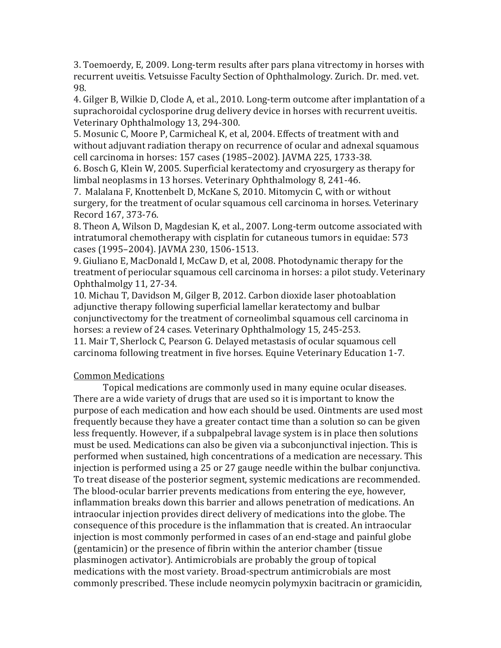3. Toemoerdy, E, 2009. Long-term results after pars plana vitrectomy in horses with recurrent uveitis. Vetsuisse Faculty Section of Ophthalmology. Zurich. Dr. med. vet. 98.

4. Gilger B, Wilkie D, Clode A, et al., 2010. Long-term outcome after implantation of a suprachoroidal cyclosporine drug delivery device in horses with recurrent uveitis. Veterinary Ophthalmology 13, 294-300.

5. Mosunic C, Moore P, Carmicheal K, et al, 2004. Effects of treatment with and without adjuvant radiation therapy on recurrence of ocular and adnexal squamous cell carcinoma in horses: 157 cases (1985–2002). JAVMA 225, 1733-38.

6. Bosch G, Klein W, 2005. Superficial keratectomy and cryosurgery as therapy for limbal neoplasms in 13 horses. Veterinary Ophthalmology 8, 241-46.

7. Malalana F, Knottenbelt D, McKane S, 2010. Mitomycin C, with or without surgery, for the treatment of ocular squamous cell carcinoma in horses. Veterinary Record 167, 373-76.

8. Theon A, Wilson D, Magdesian K, et al., 2007. Long-term outcome associated with intratumoral chemotherapy with cisplatin for cutaneous tumors in equidae: 573 cases (1995–2004). JAVMA 230, 1506-1513.

9. Giuliano E, MacDonald I, McCaw D, et al, 2008. Photodynamic therapy for the treatment of periocular squamous cell carcinoma in horses: a pilot study. Veterinary Ophthalmolgy 11, 27-34.

10. Michau T, Davidson M, Gilger B, 2012. Carbon dioxide laser photoablation adjunctive therapy following superficial lamellar keratectomy and bulbar conjunctivectomy for the treatment of corneolimbal squamous cell carcinoma in horses: a review of 24 cases. Veterinary Ophthalmology 15, 245-253.

11. Mair T, Sherlock C, Pearson G. Delayed metastasis of ocular squamous cell carcinoma following treatment in five horses. Equine Veterinary Education 1-7.

# Common Medications

Topical medications are commonly used in many equine ocular diseases. There are a wide variety of drugs that are used so it is important to know the purpose of each medication and how each should be used. Ointments are used most frequently because they have a greater contact time than a solution so can be given less frequently. However, if a subpalpebral lavage system is in place then solutions must be used. Medications can also be given via a subconjunctival injection. This is performed when sustained, high concentrations of a medication are necessary. This injection is performed using a 25 or 27 gauge needle within the bulbar conjunctiva. To treat disease of the posterior segment, systemic medications are recommended. The blood-ocular barrier prevents medications from entering the eye, however, inflammation breaks down this barrier and allows penetration of medications. An intraocular injection provides direct delivery of medications into the globe. The consequence of this procedure is the inflammation that is created. An intraocular injection is most commonly performed in cases of an end-stage and painful globe (gentamicin) or the presence of fibrin within the anterior chamber (tissue plasminogen activator). Antimicrobials are probably the group of topical medications with the most variety. Broad-spectrum antimicrobials are most commonly prescribed. These include neomycin polymyxin bacitracin or gramicidin,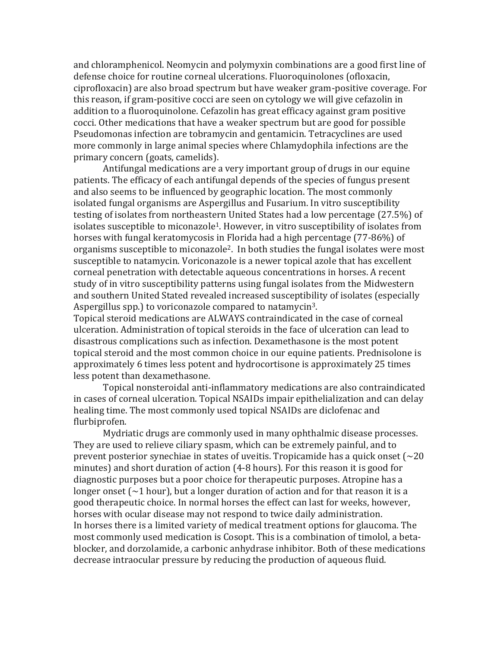and chloramphenicol. Neomycin and polymyxin combinations are a good first line of defense choice for routine corneal ulcerations. Fluoroquinolones (ofloxacin, ciprofloxacin) are also broad spectrum but have weaker gram-positive coverage. For this reason, if gram-positive cocci are seen on cytology we will give cefazolin in addition to a fluoroquinolone. Cefazolin has great efficacy against gram positive cocci. Other medications that have a weaker spectrum but are good for possible Pseudomonas infection are tobramycin and gentamicin. Tetracyclines are used more commonly in large animal species where Chlamydophila infections are the primary concern (goats, camelids).

Antifungal medications are a very important group of drugs in our equine patients. The efficacy of each antifungal depends of the species of fungus present and also seems to be influenced by geographic location. The most commonly isolated fungal organisms are Aspergillus and Fusarium. In vitro susceptibility testing of isolates from northeastern United States had a low percentage (27.5%) of isolates susceptible to miconazole<sup>1</sup>. However, in vitro susceptibility of isolates from horses with fungal keratomycosis in Florida had a high percentage (77-86%) of organisms susceptible to miconazole2. In both studies the fungal isolates were most susceptible to natamycin. Voriconazole is a newer topical azole that has excellent corneal penetration with detectable aqueous concentrations in horses. A recent study of in vitro susceptibility patterns using fungal isolates from the Midwestern and southern United Stated revealed increased susceptibility of isolates (especially Aspergillus spp.) to voriconazole compared to natamycin3.

Topical steroid medications are ALWAYS contraindicated in the case of corneal ulceration. Administration of topical steroids in the face of ulceration can lead to disastrous complications such as infection. Dexamethasone is the most potent topical steroid and the most common choice in our equine patients. Prednisolone is approximately 6 times less potent and hydrocortisone is approximately 25 times less potent than dexamethasone.

Topical nonsteroidal anti-inflammatory medications are also contraindicated in cases of corneal ulceration. Topical NSAIDs impair epithelialization and can delay healing time. The most commonly used topical NSAIDs are diclofenac and flurbiprofen.

Mydriatic drugs are commonly used in many ophthalmic disease processes. They are used to relieve ciliary spasm, which can be extremely painful, and to prevent posterior synechiae in states of uveitis. Tropicamide has a quick onset  $\sim 20$ minutes) and short duration of action (4-8 hours). For this reason it is good for diagnostic purposes but a poor choice for therapeutic purposes. Atropine has a longer onset  $(\sim 1$  hour), but a longer duration of action and for that reason it is a good therapeutic choice. In normal horses the effect can last for weeks, however, horses with ocular disease may not respond to twice daily administration. In horses there is a limited variety of medical treatment options for glaucoma. The most commonly used medication is Cosopt. This is a combination of timolol, a betablocker, and dorzolamide, a carbonic anhydrase inhibitor. Both of these medications decrease intraocular pressure by reducing the production of aqueous fluid.